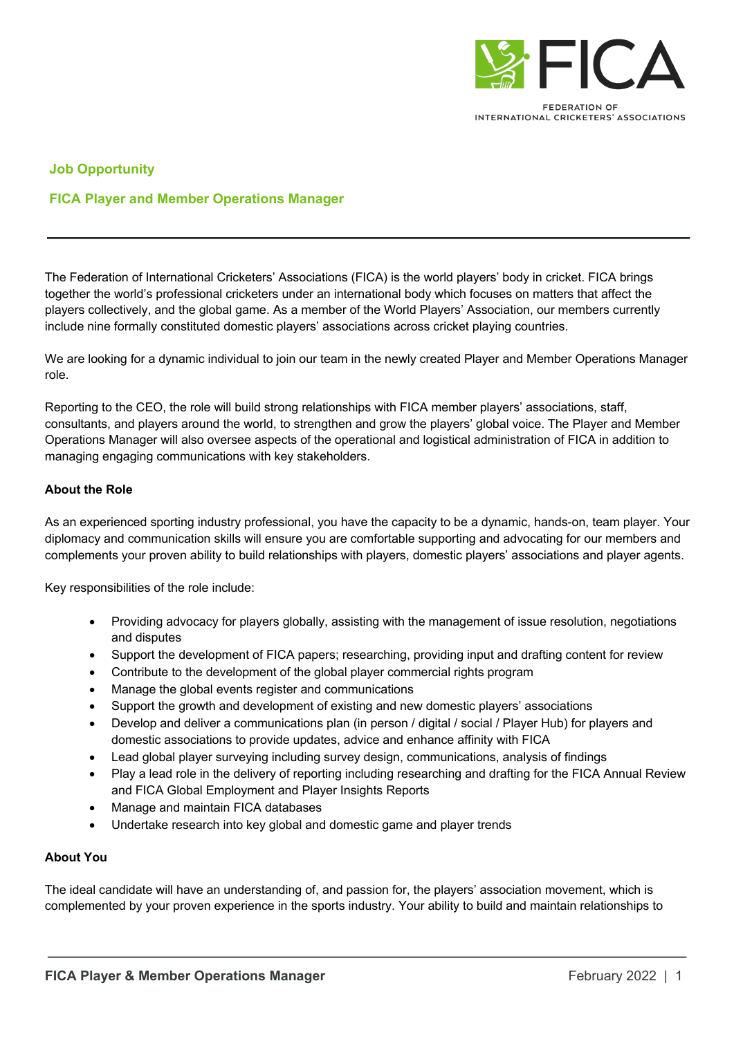

INTERNATIONAL CRICKETERS' ASSOCIATIONS

## **Job Opportunity**

## **FICA Player and Member Operations Manager**

The Federation of International Cricketers' Associations (FICA) is the world players' body in cricket. FICA brings together the world's professional cricketers under an international body which focuses on matters that affect the players collectively, and the global game. As a member of the World Players' Association, our members currently include nine formally constituted domestic players' associations across cricket playing countries.

We are looking for a dynamic individual to join our team in the newly created Player and Member Operations Manager role.

Reporting to the CEO, the role will build strong relationships with FICA member players' associations, staff, consultants, and players around the world, to strengthen and grow the players' global voice. The Player and Member Operations Manager will also oversee aspects of the operational and logistical administration of FICA in addition to managing engaging communications with key stakeholders.

## **About the Role**

As an experienced sporting industry professional, you have the capacity to be a dynamic, hands-on, team player. Your diplomacy and communication skills will ensure you are comfortable supporting and advocating for our members and complements your proven ability to build relationships with players, domestic players' associations and player agents.

Key responsibilities of the role include:

- Providing advocacy for players globally, assisting with the management of issue resolution, negotiations and disputes
- Support the development of FICA papers; researching, providing input and drafting content for review
- Contribute to the development of the global player commercial rights program
- Manage the global events register and communications
- Support the growth and development of existing and new domestic players' associations
- Develop and deliver a communications plan (in person / digital / social / Player Hub) for players and domestic associations to provide updates, advice and enhance affinity with FICA
- Lead global player surveying including survey design, communications, analysis of findings
- Play a lead role in the delivery of reporting including researching and drafting for the FICA Annual Review and FICA Global Employment and Player Insights Reports
- Manage and maintain FICA databases
- Undertake research into key global and domestic game and player trends

## **About You**

The ideal candidate will have an understanding of, and passion for, the players' association movement, which is complemented by your proven experience in the sports industry. Your ability to build and maintain relationships to